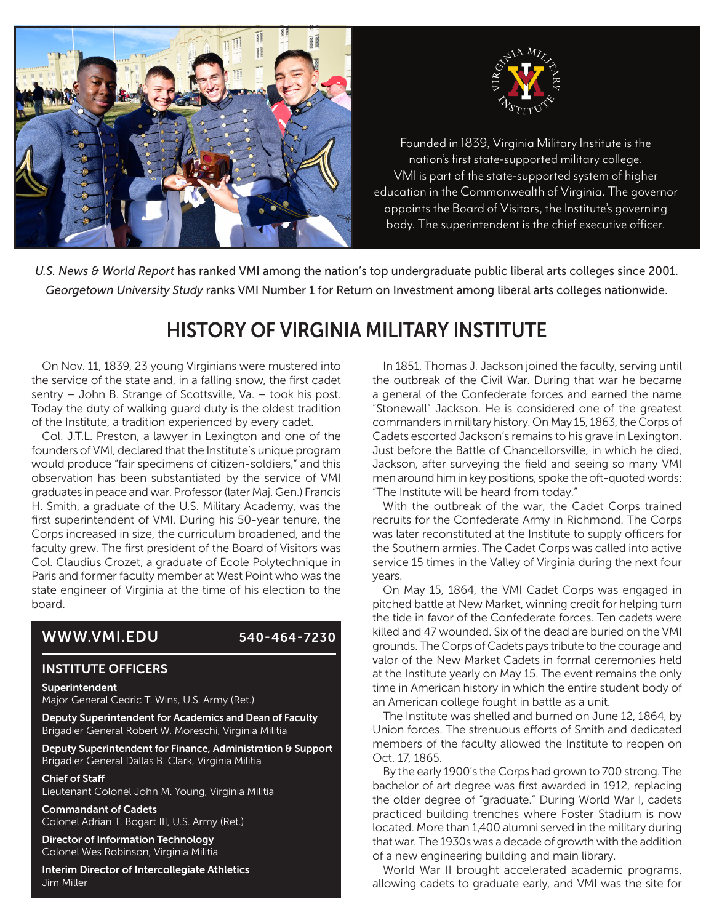



nation's first state-supported military college.<br>Nation's first state-supported military college. VMI is part of the state-supported system of higher education in the Commonwealth of Virginia. The governor appoints the Board of Visitors, the Institute's governing Founded in 1839, Virginia Military Institute is the body. The superintendent is the chief executive officer.

*U.S. News & World Report* has ranked VMI among the nation's top undergraduate public liberal arts colleges since 2001. *Georgetown University Study* ranks VMI Number 1 for Return on Investment among liberal arts colleges nationwide.

# HISTORY OF VIRGINIA MILITARY INSTITUTE

On Nov. 11, 1839, 23 young Virginians were mustered into the service of the state and, in a falling snow, the first cadet sentry – John B. Strange of Scottsville, Va. – took his post. Today the duty of walking guard duty is the oldest tradition of the Institute, a tradition experienced by every cadet.

Col. J.T.L. Preston, a lawyer in Lexington and one of the founders of VMI, declared that the Institute's unique program would produce "fair specimens of citizen-soldiers," and this observation has been substantiated by the service of VMI graduates in peace and war. Professor (later Maj. Gen.) Francis H. Smith, a graduate of the U.S. Military Academy, was the first superintendent of VMI. During his 50-year tenure, the Corps increased in size, the curriculum broadened, and the faculty grew. The first president of the Board of Visitors was Col. Claudius Crozet, a graduate of Ecole Polytechnique in Paris and former faculty member at West Point who was the state engineer of Virginia at the time of his election to the board.

## WWW.VMI.EDU 540-464-7230

#### INSTITUTE OFFICERS

#### Superintendent

Major General Cedric T. Wins, U.S. Army (Ret.)

Deputy Superintendent for Academics and Dean of Faculty Brigadier General Robert W. Moreschi, Virginia Militia

Deputy Superintendent for Finance, Administration & Support Brigadier General Dallas B. Clark, Virginia Militia

#### Chief of Staff

Lieutenant Colonel John M. Young, Virginia Militia

Commandant of Cadets Colonel Adrian T. Bogart III, U.S. Army (Ret.)

Director of Information Technology Colonel Wes Robinson, Virginia Militia

Interim Director of Intercollegiate Athletics Jim Miller

In 1851, Thomas J. Jackson joined the faculty, serving until the outbreak of the Civil War. During that war he became a general of the Confederate forces and earned the name "Stonewall" Jackson. He is considered one of the greatest commanders in military history. On May 15, 1863, the Corps of Cadets escorted Jackson's remains to his grave in Lexington. Just before the Battle of Chancellorsville, in which he died, Jackson, after surveying the field and seeing so many VMI men around him in key positions, spoke the oft-quoted words: "The Institute will be heard from today."

With the outbreak of the war, the Cadet Corps trained recruits for the Confederate Army in Richmond. The Corps was later reconstituted at the Institute to supply officers for the Southern armies. The Cadet Corps was called into active service 15 times in the Valley of Virginia during the next four years.

On May 15, 1864, the VMI Cadet Corps was engaged in pitched battle at New Market, winning credit for helping turn the tide in favor of the Confederate forces. Ten cadets were killed and 47 wounded. Six of the dead are buried on the VMI grounds. The Corps of Cadets pays tribute to the courage and valor of the New Market Cadets in formal ceremonies held at the Institute yearly on May 15. The event remains the only time in American history in which the entire student body of an American college fought in battle as a unit.

The Institute was shelled and burned on June 12, 1864, by Union forces. The strenuous efforts of Smith and dedicated members of the faculty allowed the Institute to reopen on Oct. 17, 1865.

By the early 1900's the Corps had grown to 700 strong. The bachelor of art degree was first awarded in 1912, replacing the older degree of "graduate." During World War I, cadets practiced building trenches where Foster Stadium is now located. More than 1,400 alumni served in the military during that war. The 1930s was a decade of growth with the addition of a new engineering building and main library.

World War II brought accelerated academic programs, allowing cadets to graduate early, and VMI was the site for